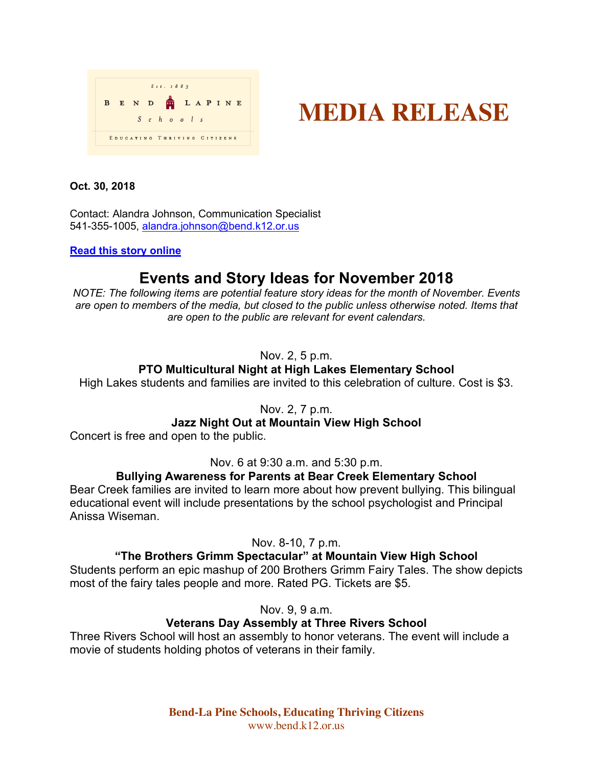

# **MEDIA RELEASE**

**Oct. 30, 2018**

Contact: Alandra Johnson, Communication Specialist 541-355-1005, alandra.johnson@bend.k12.or.us

**Read this story online**

## **Events and Story Ideas for November 2018**

*NOTE: The following items are potential feature story ideas for the month of November. Events are open to members of the media, but closed to the public unless otherwise noted. Items that are open to the public are relevant for event calendars.*

## Nov. 2, 5 p.m.

## **PTO Multicultural Night at High Lakes Elementary School**

High Lakes students and families are invited to this celebration of culture. Cost is \$3.

Nov. 2, 7 p.m.

## **Jazz Night Out at Mountain View High School**

Concert is free and open to the public.

Nov. 6 at 9:30 a.m. and 5:30 p.m.

## **Bullying Awareness for Parents at Bear Creek Elementary School**

Bear Creek families are invited to learn more about how prevent bullying. This bilingual educational event will include presentations by the school psychologist and Principal Anissa Wiseman.

Nov. 8-10, 7 p.m.

## **"The Brothers Grimm Spectacular" at Mountain View High School**

Students perform an epic mashup of 200 Brothers Grimm Fairy Tales. The show depicts most of the fairy tales people and more. Rated PG. Tickets are \$5.

Nov. 9, 9 a.m.

## **Veterans Day Assembly at Three Rivers School**

Three Rivers School will host an assembly to honor veterans. The event will include a movie of students holding photos of veterans in their family.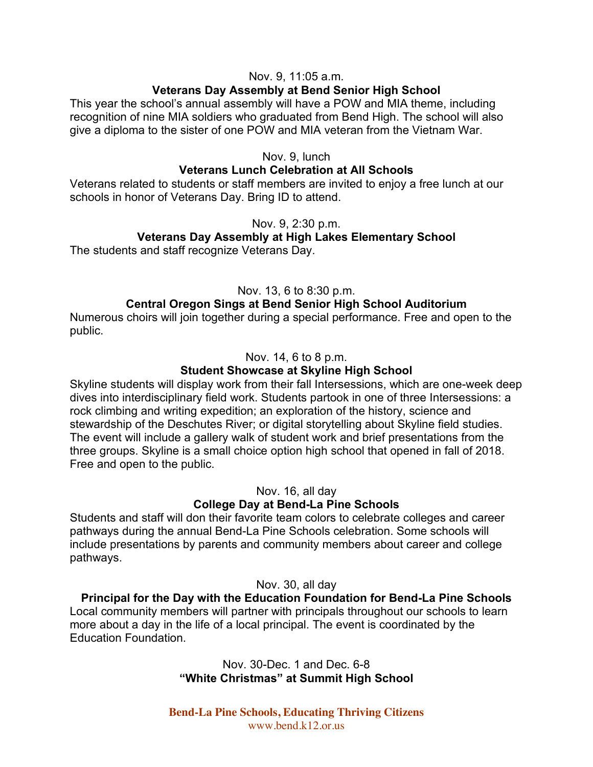#### Nov. 9, 11:05 a.m.

#### **Veterans Day Assembly at Bend Senior High School**

This year the school's annual assembly will have a POW and MIA theme, including recognition of nine MIA soldiers who graduated from Bend High. The school will also give a diploma to the sister of one POW and MIA veteran from the Vietnam War.

#### Nov. 9, lunch

#### **Veterans Lunch Celebration at All Schools**

Veterans related to students or staff members are invited to enjoy a free lunch at our schools in honor of Veterans Day. Bring ID to attend.

#### Nov. 9, 2:30 p.m.

#### **Veterans Day Assembly at High Lakes Elementary School**

The students and staff recognize Veterans Day.

#### Nov. 13, 6 to 8:30 p.m.

#### **Central Oregon Sings at Bend Senior High School Auditorium**

Numerous choirs will join together during a special performance. Free and open to the public.

#### Nov. 14, 6 to 8 p.m.

#### **Student Showcase at Skyline High School**

Skyline students will display work from their fall Intersessions, which are one-week deep dives into interdisciplinary field work. Students partook in one of three Intersessions: a rock climbing and writing expedition; an exploration of the history, science and stewardship of the Deschutes River; or digital storytelling about Skyline field studies. The event will include a gallery walk of student work and brief presentations from the three groups. Skyline is a small choice option high school that opened in fall of 2018. Free and open to the public.

Nov. 16, all day

#### **College Day at Bend-La Pine Schools**

Students and staff will don their favorite team colors to celebrate colleges and career pathways during the annual Bend-La Pine Schools celebration. Some schools will include presentations by parents and community members about career and college pathways.

Nov. 30, all day

**Principal for the Day with the Education Foundation for Bend-La Pine Schools** Local community members will partner with principals throughout our schools to learn more about a day in the life of a local principal. The event is coordinated by the Education Foundation.

> Nov. 30-Dec. 1 and Dec. 6-8 **"White Christmas" at Summit High School**

**Bend-La Pine Schools, Educating Thriving Citizens** www.bend.k12.or.us